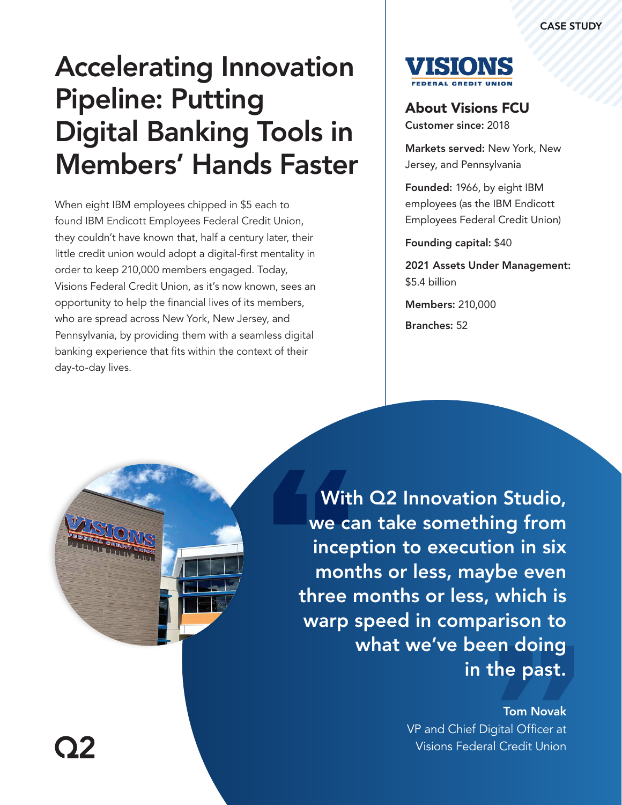# Accelerating Innovation Pipeline: Putting Digital Banking Tools in Members' Hands Faster

When eight IBM employees chipped in \$5 each to found IBM Endicott Employees Federal Credit Union, they couldn't have known that, half a century later, their little credit union would adopt a digital-first mentality in order to keep 210,000 members engaged. Today, Visions Federal Credit Union, as it's now known, sees an opportunity to help the financial lives of its members, who are spread across New York, New Jersey, and Pennsylvania, by providing them with a seamless digital banking experience that fits within the context of their day-to-day lives.



### About Visions FCU

Customer since: 2018

Markets served: New York, New Jersey, and Pennsylvania

Founded: 1966, by eight IBM employees (as the IBM Endicott Employees Federal Credit Union)

Founding capital: \$40

2021 Assets Under Management: \$5.4 billion

Branches: 52 Members: 210,000



With Q2 Innovation Studio, we can take something from inception to execution in six months or less, maybe even three months or less, which is warp speed in comparison to what we've been doing in the past.

> Tom Novak VP and Chief Digital Officer at Visions Federal Credit Union